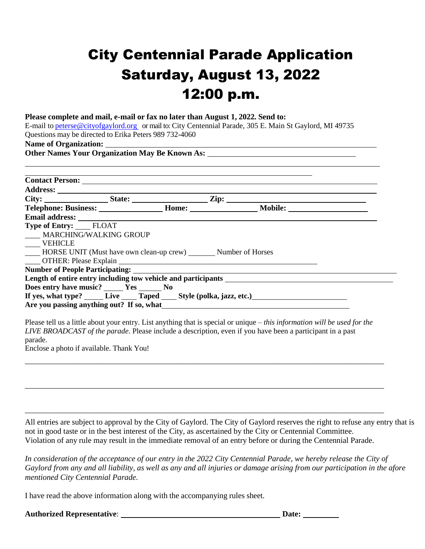## City Centennial Parade Application Saturday, August 13, 2022 12:00 p.m.

**Please complete and mail, e-mail or fax no later than August 1, 2022. Send to:** E-mail to [peterse@cityofgaylord.org](mailto:peterse@cityofgaylord.org) or mail to: City Centennial Parade, 305 E. Main St Gaylord, MI 49735 Questions may be directed to Erika Peters 989 732-4060 **Name of Organization:** 

**Other Names Your Organization May Be Known As:**

|                                                                                   | Email address: <u>New York: New York: New York: New York: New York: New York: New York: New York: New York: New York: New York: New York: New York: New York: New York: New York: New York: New York: New York: New York: New Yo</u> |  |  |
|-----------------------------------------------------------------------------------|--------------------------------------------------------------------------------------------------------------------------------------------------------------------------------------------------------------------------------------|--|--|
| Type of Entry: FLOAT                                                              |                                                                                                                                                                                                                                      |  |  |
| <b>MARCHING/WALKING GROUP</b>                                                     |                                                                                                                                                                                                                                      |  |  |
| VEHICLE                                                                           |                                                                                                                                                                                                                                      |  |  |
| HORSE UNIT (Must have own clean-up crew) _________ Number of Horses               |                                                                                                                                                                                                                                      |  |  |
|                                                                                   | OTHER: Please Explain                                                                                                                                                                                                                |  |  |
|                                                                                   |                                                                                                                                                                                                                                      |  |  |
| Length of entire entry including tow vehicle and participants ___________________ |                                                                                                                                                                                                                                      |  |  |
| Does entry have music? Yes No                                                     |                                                                                                                                                                                                                                      |  |  |
| If yes, what type? _______ Live ______ Taped ______ Style (polka, jazz, etc.)     |                                                                                                                                                                                                                                      |  |  |
| Are you passing anything out? If so, what                                         |                                                                                                                                                                                                                                      |  |  |

Please tell us a little about your entry. List anything that is special or unique – *this information will be used for the LIVE BROADCAST of the parade*. Please include a description, even if you have been a participant in a past parade.

\_\_\_\_\_\_\_\_\_\_\_\_\_\_\_\_\_\_\_\_\_\_\_\_\_\_\_\_\_\_\_\_\_\_\_\_\_\_\_\_\_\_\_\_\_\_\_\_\_\_\_\_\_\_\_\_\_\_\_\_\_\_\_\_\_\_\_\_\_\_\_\_\_\_\_\_\_\_\_\_\_\_\_\_\_\_\_\_\_\_

\_\_\_\_\_\_\_\_\_\_\_\_\_\_\_\_\_\_\_\_\_\_\_\_\_\_\_\_\_\_\_\_\_\_\_\_\_\_\_\_\_\_\_\_\_\_\_\_\_\_\_\_\_\_\_\_\_\_\_\_\_\_\_\_\_\_\_\_\_\_\_\_\_\_\_\_\_\_\_\_\_\_\_\_\_\_\_\_\_\_

\_\_\_\_\_\_\_\_\_\_\_\_\_\_\_\_\_\_\_\_\_\_\_\_\_\_\_\_\_\_\_\_\_\_\_\_\_\_\_\_\_\_\_\_\_\_\_\_\_\_\_\_\_\_\_\_\_\_\_\_\_\_\_\_\_\_\_\_\_\_\_\_\_\_\_\_\_\_\_\_\_\_\_\_\_\_\_\_\_\_

Enclose a photo if available. Thank You!

All entries are subject to approval by the City of Gaylord. The City of Gaylord reserves the right to refuse any entry that is not in good taste or in the best interest of the City, as ascertained by the City or Centennial Committee. Violation of any rule may result in the immediate removal of an entry before or during the Centennial Parade.

*In consideration of the acceptance of our entry in the 2022 City Centennial Parade, we hereby release the City of*  Gaylord from any and all liability, as well as any and all injuries or damage arising from our participation in the afore *mentioned City Centennial Parade.*

I have read the above information along with the accompanying rules sheet.

Authorized Representative: <u>**Date: <b>Date: Date: Date: Date: Date: Date: Date: Date: Date: Date: Date: Date: Date: Date: Date: Date: Date: Date: Date: Date: Date: Date: Date: Da</u>**